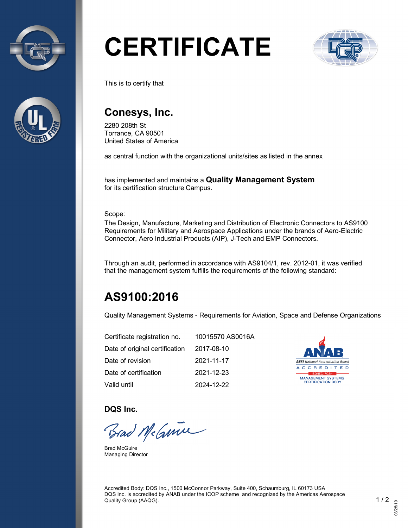



# **CERTIFICATE**



This is to certify that

### **Conesys, Inc.**

2280 208th St Torrance, CA 90501 United States of America

as central function with the organizational units/sites as listed in the annex

has implemented and maintains a **Quality Management System** for its certification structure Campus.

Scope:

The Design, Manufacture, Marketing and Distribution of Electronic Connectors to AS9100 Requirements for Military and Aerospace Applications under the brands of Aero-Electric Connector, Aero Industrial Products (AIP), J-Tech and EMP Connectors.

Through an audit, performed in accordance with AS9104/1, rev. 2012-01, it was verified that the management system fulfills the requirements of the following standard:

## **AS9100:2016**

Quality Management Systems - Requirements for Aviation, Space and Defense Organizations

| Certificate registration no.   | 10015570 AS0016A |
|--------------------------------|------------------|
| Date of original certification | 2017-08-10       |
| Date of revision               | 2021-11-17       |
| Date of certification          | 2021-12-23       |
| Valid until                    | 2024-12-22       |



**DQS Inc.**

Brad McGmin

Brad McGuire Managing Director

Accredited Body: DQS Inc., 1500 McConnor Parkway, Suite 400, Schaumburg, IL 60173 USA DQS Inc. is accredited by ANAB under the ICOP scheme and recognized by the Americas Aerospace Quality Group (AAQG). 1 / 2  $\sim$  1 / 2  $\sim$  1 / 2  $\sim$  1 / 2  $\sim$  1 / 2  $\sim$  1 / 2  $\sim$  1  $\sim$  1  $\sim$  2  $\sim$  1  $\sim$  2  $\sim$  1  $\sim$  2  $\sim$  1  $\sim$  2  $\sim$  1  $\sim$  2  $\sim$  1  $\sim$  2  $\sim$  2  $\sim$  1  $\sim$  2  $\sim$  2  $\sim$  2  $\sim$  2  $\sim$  2